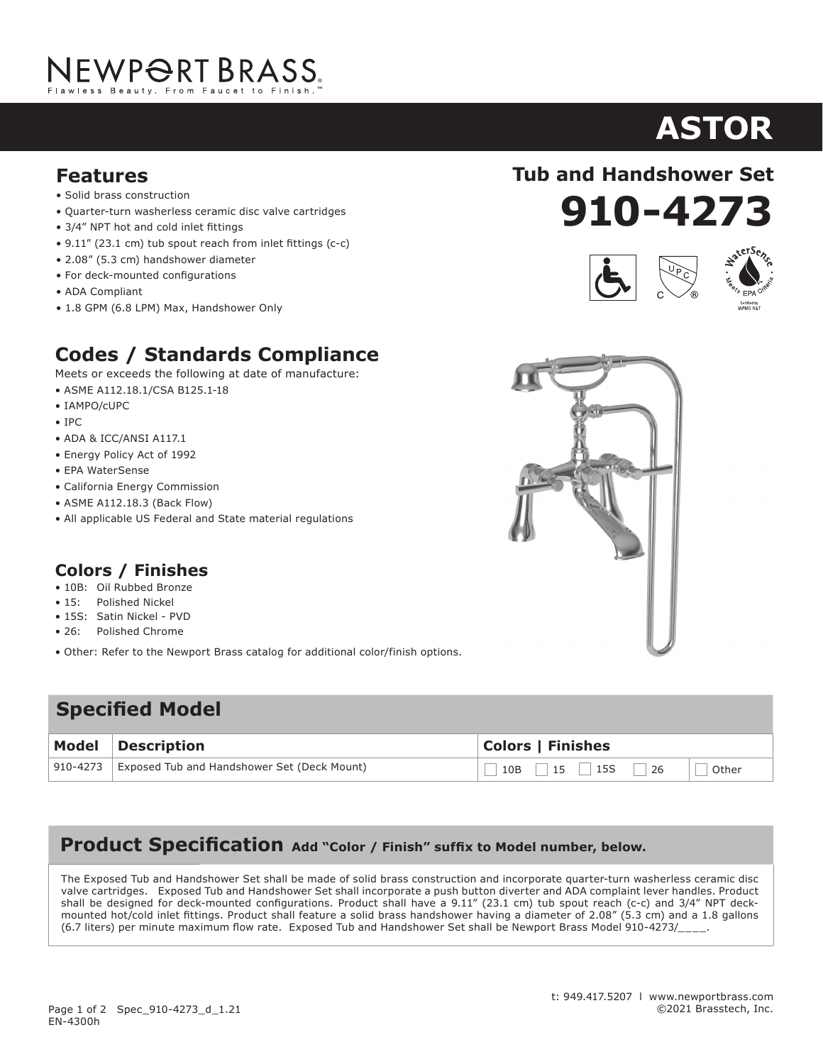# NEWP<del>O</del>RT BRASS.

#### **Features**

- Solid brass construction
- Quarter-turn washerless ceramic disc valve cartridges
- 3/4" NPT hot and cold inlet fittings
- 9.11" (23.1 cm) tub spout reach from inlet fittings (c-c)
- 2.08" (5.3 cm) handshower diameter
- For deck-mounted configurations
- ADA Compliant
- 1.8 GPM (6.8 LPM) Max, Handshower Only

### **Codes / Standards Compliance**

Meets or exceeds the following at date of manufacture:

- ASME A112.18.1/CSA B125.1-18
- IAMPO/cUPC
- IPC
- ADA & ICC/ANSI A117.1
- Energy Policy Act of 1992
- EPA WaterSense
- California Energy Commission
- ASME A112.18.3 (Back Flow)
- All applicable US Federal and State material regulations

### **Colors / Finishes**

- 10B: Oil Rubbed Bronze
- 15: Polished Nickel
- 15S: Satin Nickel PVD
- 26: Polished Chrome
- Other: Refer to the Newport Brass catalog for additional color/finish options.

### **Specified Model**

| Model Description                                      | <b>Colors   Finishes</b>    |
|--------------------------------------------------------|-----------------------------|
| 910-4273   Exposed Tub and Handshower Set (Deck Mount) | $10B$ 15   15   26<br>Other |

### **Product Specification Add "Color / Finish" suffix to Model number, below.**

The Exposed Tub and Handshower Set shall be made of solid brass construction and incorporate quarter-turn washerless ceramic disc valve cartridges. Exposed Tub and Handshower Set shall incorporate a push button diverter and ADA complaint lever handles. Product shall be designed for deck-mounted configurations. Product shall have a 9.11" (23.1 cm) tub spout reach (c-c) and 3/4" NPT deckmounted hot/cold inlet fittings. Product shall feature a solid brass handshower having a diameter of 2.08" (5.3 cm) and a 1.8 gallons (6.7 liters) per minute maximum flow rate. Exposed Tub and Handshower Set shall be Newport Brass Model 910-4273/\_\_\_\_.

## **910-4273 Tub and Handshower Set**







# **ASTOR**